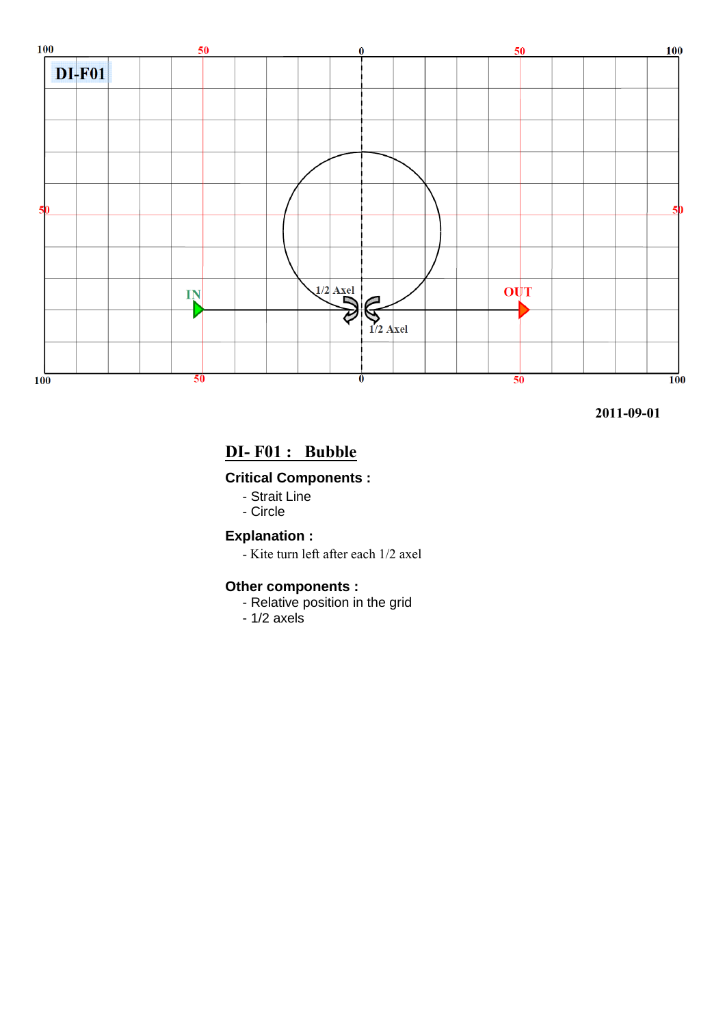

# **DI- F01 : Bubble**

## **Critical Components :**

- Strait Line
- Circle

**Explanation :**

- Kite turn left after each 1/2 axel

## **Other components :**

- Relative position in the grid
- 1/2 axels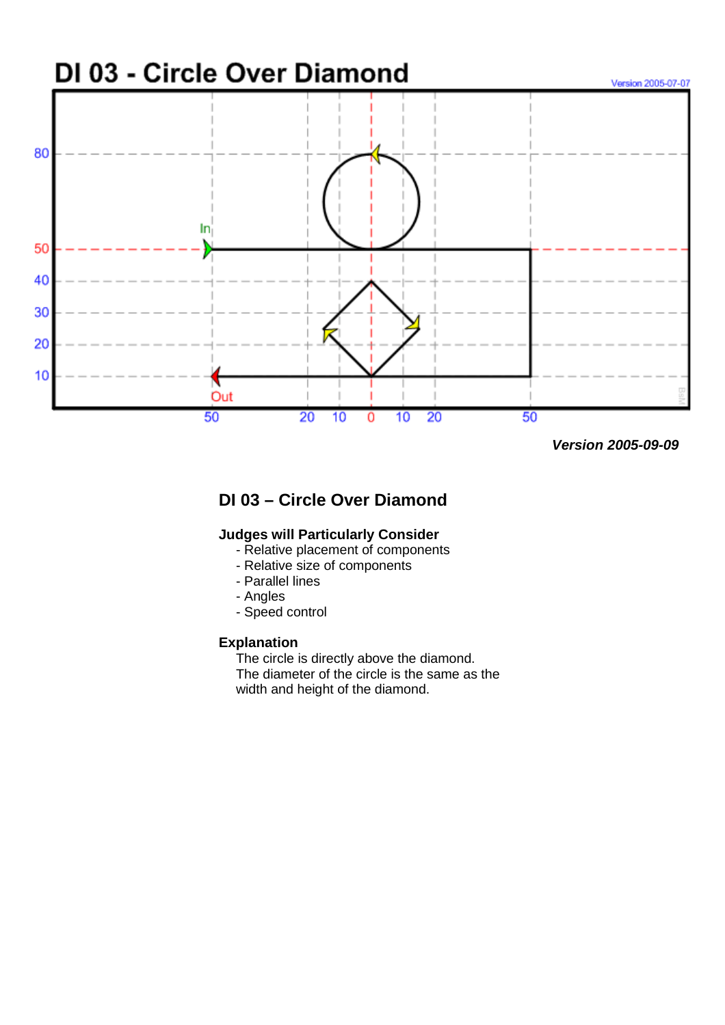

 **Version 2005-09-09** 

# **DI 03 – Circle Over Diamond**

### **Judges will Particularly Consider**

- Relative placement of components
- Relative size of components
- Parallel lines
- Angles
- Speed control

#### **Explanation**

The circle is directly above the diamond.

The diameter of the circle is the same as the width and height of the diamond.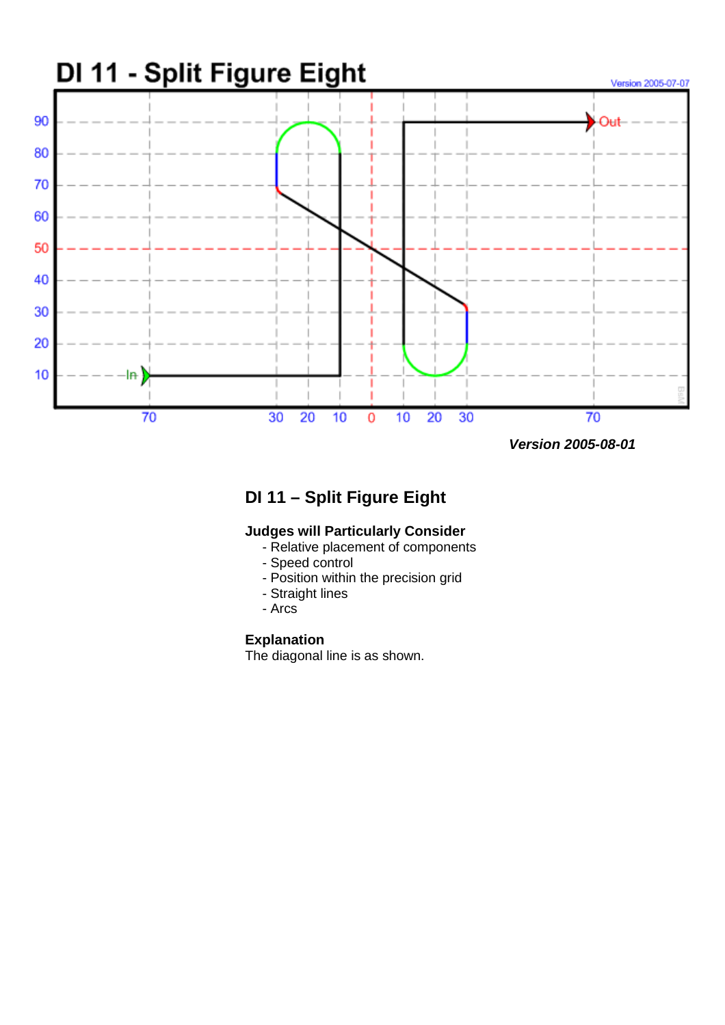

 **Version 2005-08-01** 

# **DI 11 – Split Figure Eight**

### **Judges will Particularly Consider**

- Relative placement of components
- Speed control
- Position within the precision grid
- Straight lines
- Arcs

## **Explanation**

The diagonal line is as shown.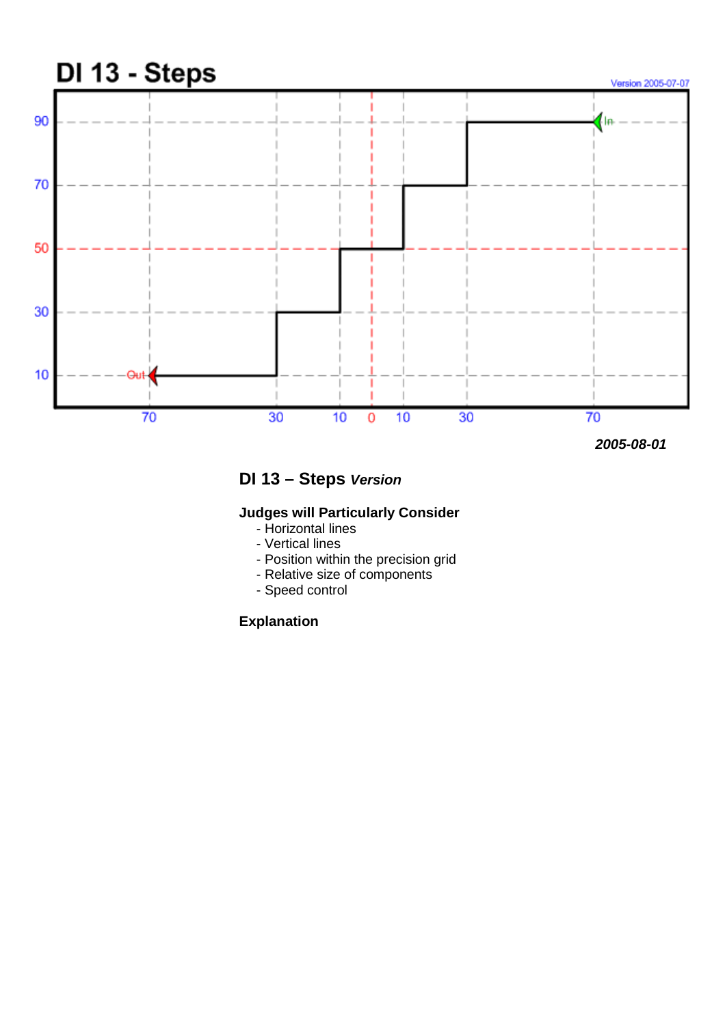

 **2005-08-01** 

**DI 13 – Steps Version** 

## **Judges will Particularly Consider**

- Horizontal lines
- Vertical lines
- Position within the precision grid
- Relative size of components
- Speed control

## **Explanation**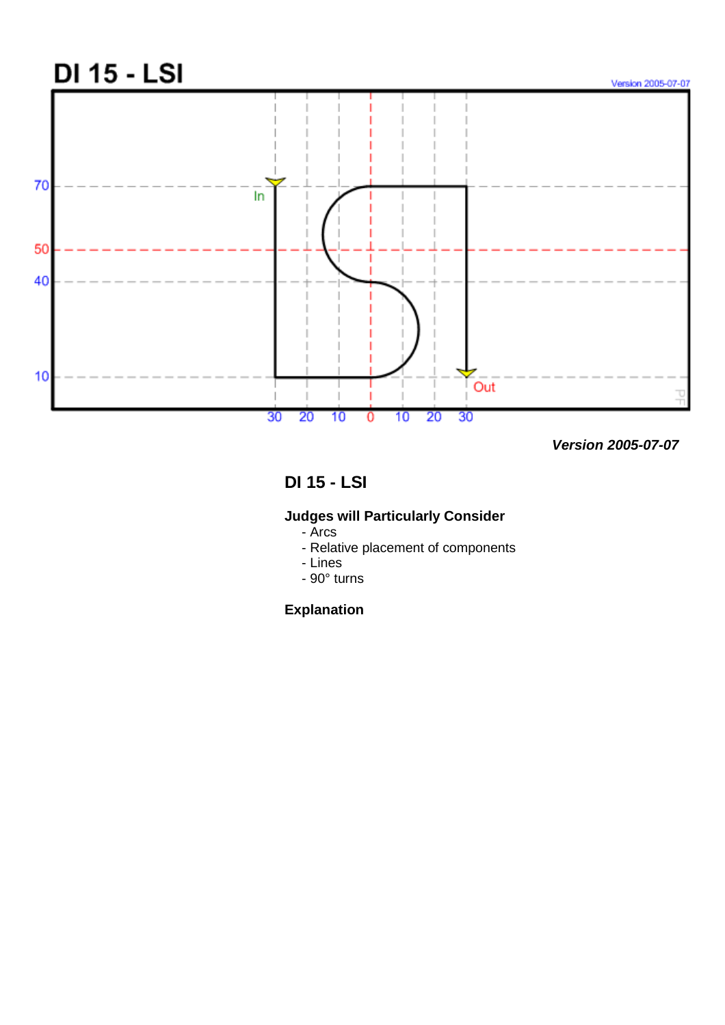

 **Version 2005-07-07** 

# **DI 15 - LSI**

## **Judges will Particularly Consider**

- Arcs
- Relative placement of components
- Lines
- 90° turns

## **Explanation**